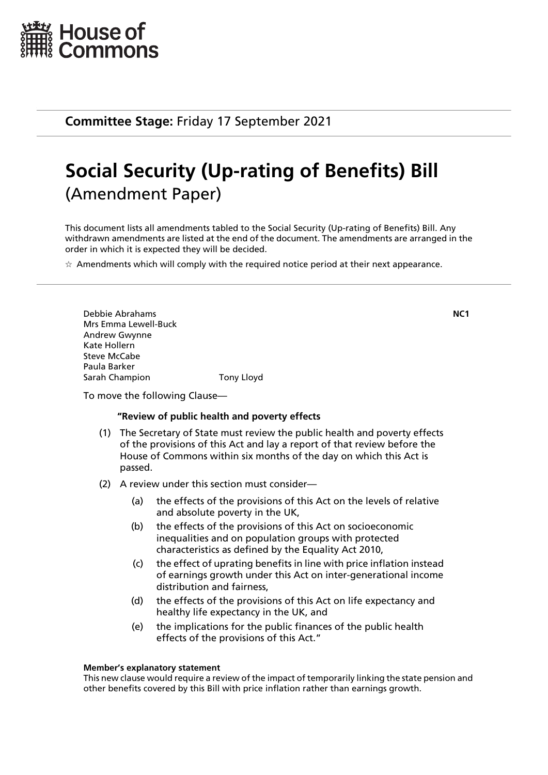

**Committee Stage:** Friday 17 September 2021

# **Social Security (Up-rating of Benefits) Bill** (Amendment Paper)

This document lists all amendments tabled to the Social Security (Up-rating of Benefits) Bill. Any withdrawn amendments are listed at the end of the document. The amendments are arranged in the order in which it is expected they will be decided.

 $\star$  Amendments which will comply with the required notice period at their next appearance.

Debbie Abrahams **NC1** Mrs Emma Lewell-Buck Andrew Gwynne Kate Hollern Steve McCabe Paula Barker Sarah Champion Tony Lloyd

To move the following Clause—

## **"Review of public health and poverty effects**

- (1) The Secretary of State must review the public health and poverty effects of the provisions of this Act and lay a report of that review before the House of Commons within six months of the day on which this Act is passed.
- (2) A review under this section must consider—
	- (a) the effects of the provisions of this Act on the levels of relative and absolute poverty in the UK,
	- (b) the effects of the provisions of this Act on socioeconomic inequalities and on population groups with protected characteristics as defined by the Equality Act 2010,
	- (c) the effect of uprating benefits in line with price inflation instead of earnings growth under this Act on inter-generational income distribution and fairness,
	- (d) the effects of the provisions of this Act on life expectancy and healthy life expectancy in the UK, and
	- (e) the implications for the public finances of the public health effects of the provisions of this Act."

#### **Member's explanatory statement**

This new clause would require a review of the impact of temporarily linking the state pension and other benefits covered by this Bill with price inflation rather than earnings growth.